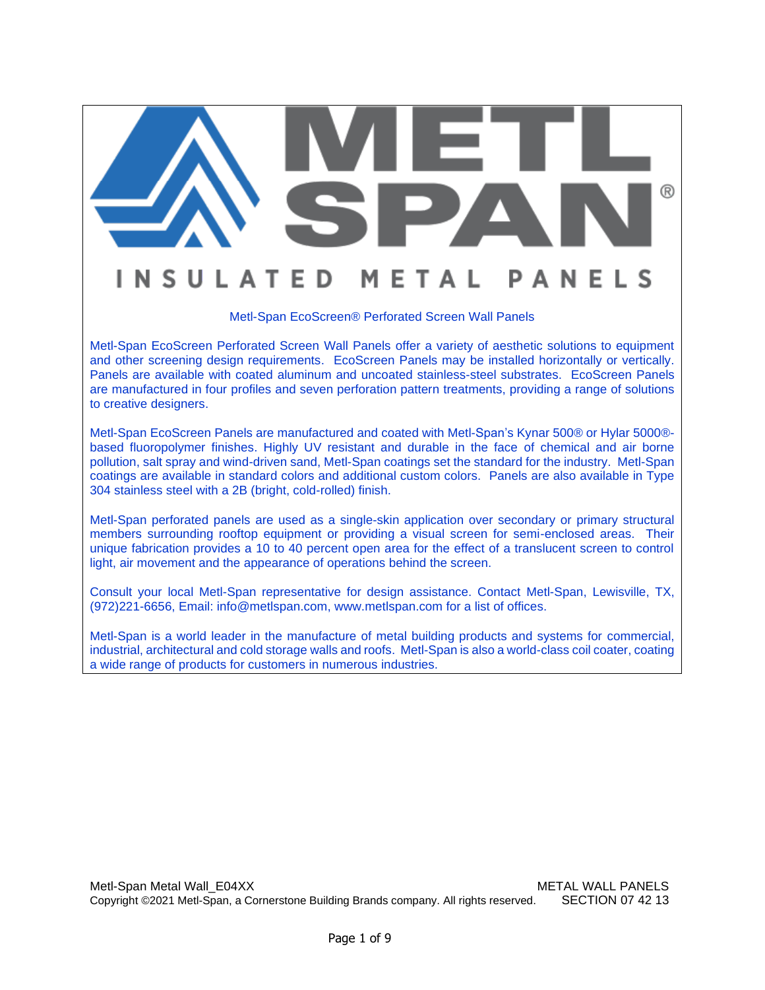# ® **N S U L A T E** D N

#### Metl-Span EcoScreen® Perforated Screen Wall Panels

F

 $\Delta$ 

Metl-Span EcoScreen Perforated Screen Wall Panels offer a variety of aesthetic solutions to equipment and other screening design requirements. EcoScreen Panels may be installed horizontally or vertically. Panels are available with coated aluminum and uncoated stainless-steel substrates. EcoScreen Panels are manufactured in four profiles and seven perforation pattern treatments, providing a range of solutions to creative designers.

Metl-Span EcoScreen Panels are manufactured and coated with Metl-Span's Kynar 500® or Hylar 5000® based fluoropolymer finishes. Highly UV resistant and durable in the face of chemical and air borne pollution, salt spray and wind-driven sand, Metl-Span coatings set the standard for the industry. Metl-Span coatings are available in standard colors and additional custom colors. Panels are also available in Type 304 stainless steel with a 2B (bright, cold-rolled) finish.

Metl-Span perforated panels are used as a single-skin application over secondary or primary structural members surrounding rooftop equipment or providing a visual screen for semi-enclosed areas. Their unique fabrication provides a 10 to 40 percent open area for the effect of a translucent screen to control light, air movement and the appearance of operations behind the screen.

Consult your local Metl-Span representative for design assistance. Contact Metl-Span, Lewisville, TX, (972)221-6656, Email: [info@metlspan.com,](mailto:info@metlspan.com) [www.metlspan.com](http://www.metlspan.com/) for a list of offices.

Metl-Span is a world leader in the manufacture of metal building products and systems for commercial, industrial, architectural and cold storage walls and roofs. Metl-Span is also a world-class coil coater, coating a wide range of products for customers in numerous industries.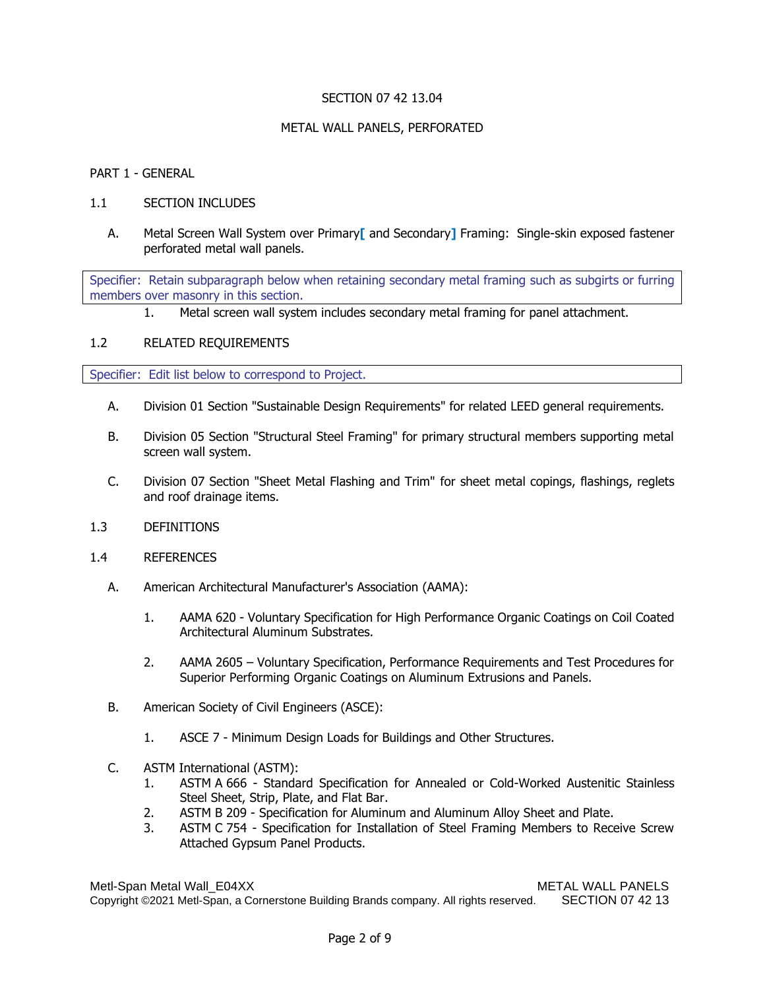## SECTION 07 42 13.04

## METAL WALL PANELS, PERFORATED

#### PART 1 - GENERAL

#### 1.1 SECTION INCLUDES

A. Metal Screen Wall System over Primary**[** and Secondary**]** Framing: Single-skin exposed fastener perforated metal wall panels.

Specifier: Retain subparagraph below when retaining secondary metal framing such as subgirts or furring members over masonry in this section.

1. Metal screen wall system includes secondary metal framing for panel attachment.

#### 1.2 RELATED REQUIREMENTS

Specifier: Edit list below to correspond to Project.

- A. Division 01 Section "Sustainable Design Requirements" for related LEED general requirements.
- B. Division 05 Section "Structural Steel Framing" for primary structural members supporting metal screen wall system.
- C. Division 07 Section "Sheet Metal Flashing and Trim" for sheet metal copings, flashings, reglets and roof drainage items.
- 1.3 DEFINITIONS
- 1.4 REFERENCES
	- A. American Architectural Manufacturer's Association (AAMA):
		- 1. AAMA 620 Voluntary Specification for High Performance Organic Coatings on Coil Coated Architectural Aluminum Substrates.
		- 2. AAMA 2605 Voluntary Specification, Performance Requirements and Test Procedures for Superior Performing Organic Coatings on Aluminum Extrusions and Panels.
	- B. American Society of Civil Engineers (ASCE):
		- 1. ASCE 7 Minimum Design Loads for Buildings and Other Structures.
	- C. ASTM International (ASTM):
		- 1. ASTM A 666 Standard Specification for Annealed or Cold-Worked Austenitic Stainless Steel Sheet, Strip, Plate, and Flat Bar.
		- 2. ASTM B 209 Specification for Aluminum and Aluminum Alloy Sheet and Plate.
		- 3. ASTM C 754 Specification for Installation of Steel Framing Members to Receive Screw Attached Gypsum Panel Products.

Metl-Span Metal Wall\_E04XX Methods and METAL WALL PANELS Copyright ©2021 Metl-Span, a Cornerstone Building Brands company. All rights reserved. SECTION 07 42 13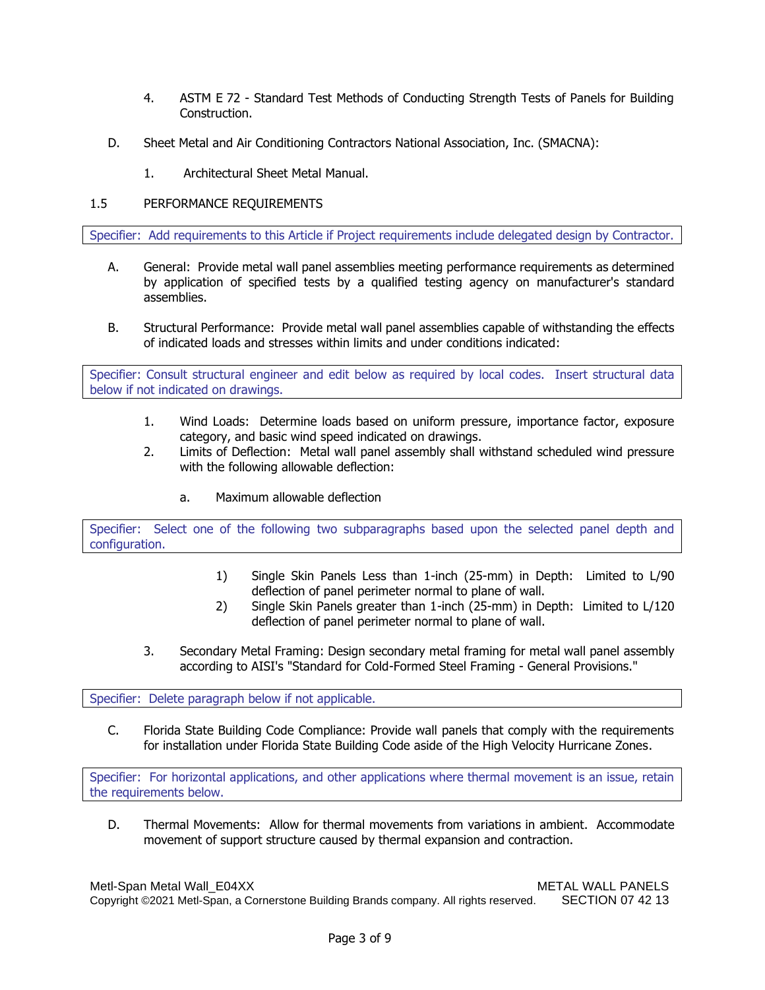- 4. ASTM E 72 Standard Test Methods of Conducting Strength Tests of Panels for Building Construction.
- D. Sheet Metal and Air Conditioning Contractors National Association, Inc. (SMACNA):
	- 1. Architectural Sheet Metal Manual.

# 1.5 PERFORMANCE REQUIREMENTS

Specifier: Add requirements to this Article if Project requirements include delegated design by Contractor.

- A. General: Provide metal wall panel assemblies meeting performance requirements as determined by application of specified tests by a qualified testing agency on manufacturer's standard assemblies.
- B. Structural Performance: Provide metal wall panel assemblies capable of withstanding the effects of indicated loads and stresses within limits and under conditions indicated:

Specifier: Consult structural engineer and edit below as required by local codes. Insert structural data below if not indicated on drawings.

- 1. Wind Loads: Determine loads based on uniform pressure, importance factor, exposure category, and basic wind speed indicated on drawings.
- 2. Limits of Deflection: Metal wall panel assembly shall withstand scheduled wind pressure with the following allowable deflection:
	- a. Maximum allowable deflection

Specifier: Select one of the following two subparagraphs based upon the selected panel depth and configuration.

- 1) Single Skin Panels Less than 1-inch (25-mm) in Depth: Limited to L/90 deflection of panel perimeter normal to plane of wall.
- 2) Single Skin Panels greater than 1-inch (25-mm) in Depth: Limited to L/120 deflection of panel perimeter normal to plane of wall.
- 3. Secondary Metal Framing: Design secondary metal framing for metal wall panel assembly according to AISI's "Standard for Cold-Formed Steel Framing - General Provisions."

Specifier: Delete paragraph below if not applicable.

C. Florida State Building Code Compliance: Provide wall panels that comply with the requirements for installation under Florida State Building Code aside of the High Velocity Hurricane Zones.

Specifier: For horizontal applications, and other applications where thermal movement is an issue, retain the requirements below.

D. Thermal Movements: Allow for thermal movements from variations in ambient. Accommodate movement of support structure caused by thermal expansion and contraction.

Metl-Span Metal Wall\_E04XX Methods and METAL WALL PANELS Copyright ©2021 Metl-Span, a Cornerstone Building Brands company. All rights reserved. SECTION 07 42 13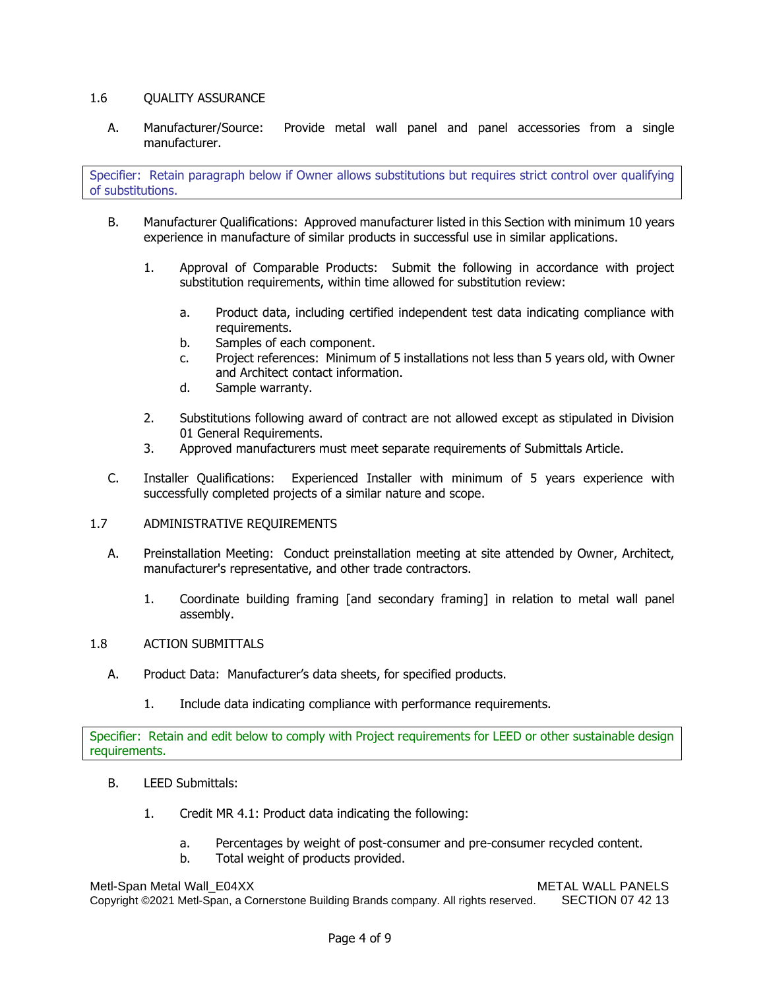# 1.6 QUALITY ASSURANCE

A. Manufacturer/Source: Provide metal wall panel and panel accessories from a single manufacturer.

Specifier: Retain paragraph below if Owner allows substitutions but requires strict control over qualifying of substitutions.

- B. Manufacturer Qualifications: Approved manufacturer listed in this Section with minimum 10 years experience in manufacture of similar products in successful use in similar applications.
	- 1. Approval of Comparable Products: Submit the following in accordance with project substitution requirements, within time allowed for substitution review:
		- a. Product data, including certified independent test data indicating compliance with requirements.
		- b. Samples of each component.
		- c. Project references: Minimum of 5 installations not less than 5 years old, with Owner and Architect contact information.
		- d. Sample warranty.
	- 2. Substitutions following award of contract are not allowed except as stipulated in Division 01 General Requirements.
	- 3. Approved manufacturers must meet separate requirements of Submittals Article.
- C. Installer Qualifications: Experienced Installer with minimum of 5 years experience with successfully completed projects of a similar nature and scope.
- 1.7 ADMINISTRATIVE REQUIREMENTS
	- A. Preinstallation Meeting: Conduct preinstallation meeting at site attended by Owner, Architect, manufacturer's representative, and other trade contractors.
		- 1. Coordinate building framing [and secondary framing] in relation to metal wall panel assembly.

# 1.8 ACTION SUBMITTALS

- A. Product Data: Manufacturer's data sheets, for specified products.
	- 1. Include data indicating compliance with performance requirements.

Specifier: Retain and edit below to comply with Project requirements for LEED or other sustainable design requirements.

- B. LEED Submittals:
	- 1. Credit MR 4.1: Product data indicating the following:
		- a. Percentages by weight of post-consumer and pre-consumer recycled content.
		- b. Total weight of products provided.

Metl-Span Metal Wall\_E04XX Methods and METAL WALL PANELS Copyright ©2021 Metl-Span, a Cornerstone Building Brands company. All rights reserved. SECTION 07 42 13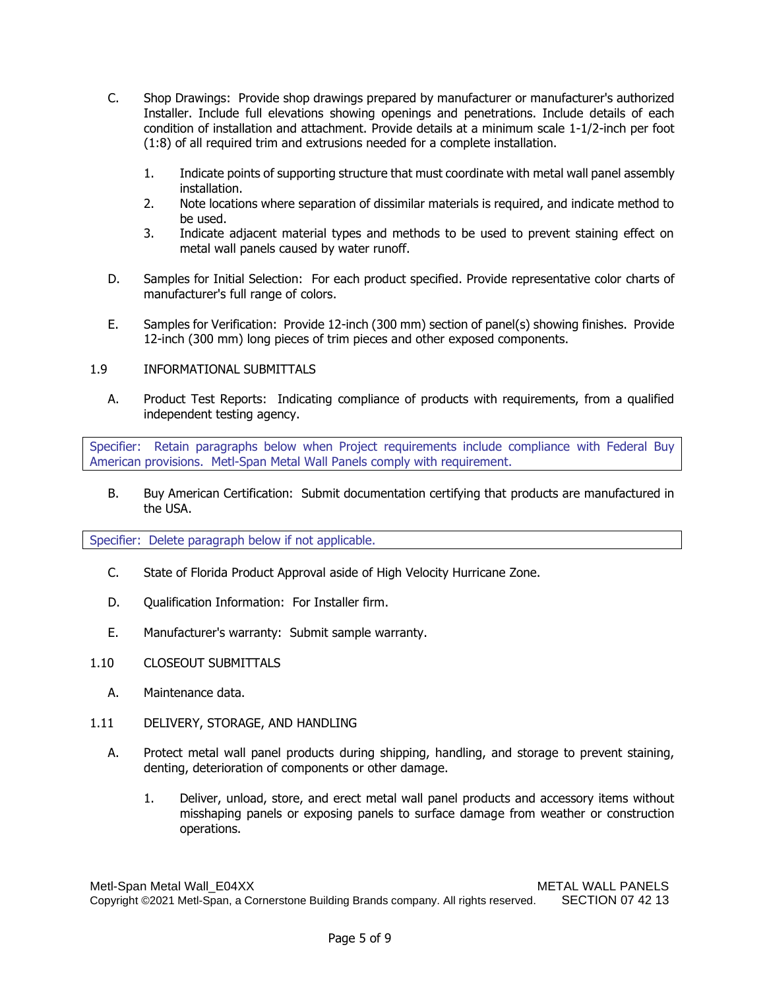- C. Shop Drawings: Provide shop drawings prepared by manufacturer or manufacturer's authorized Installer. Include full elevations showing openings and penetrations. Include details of each condition of installation and attachment. Provide details at a minimum scale 1-1/2-inch per foot (1:8) of all required trim and extrusions needed for a complete installation.
	- 1. Indicate points of supporting structure that must coordinate with metal wall panel assembly installation.
	- 2. Note locations where separation of dissimilar materials is required, and indicate method to be used.
	- 3. Indicate adjacent material types and methods to be used to prevent staining effect on metal wall panels caused by water runoff.
- D. Samples for Initial Selection: For each product specified. Provide representative color charts of manufacturer's full range of colors.
- E. Samples for Verification: Provide 12-inch (300 mm) section of panel(s) showing finishes. Provide 12-inch (300 mm) long pieces of trim pieces and other exposed components.
- 1.9 INFORMATIONAL SUBMITTALS
	- A. Product Test Reports: Indicating compliance of products with requirements, from a qualified independent testing agency.

Specifier: Retain paragraphs below when Project requirements include compliance with Federal Buy American provisions. Metl-Span Metal Wall Panels comply with requirement.

B. Buy American Certification: Submit documentation certifying that products are manufactured in the USA.

Specifier: Delete paragraph below if not applicable.

- C. State of Florida Product Approval aside of High Velocity Hurricane Zone.
- D. Qualification Information: For Installer firm.
- E. Manufacturer's warranty: Submit sample warranty.
- 1.10 CLOSEOUT SUBMITTALS
	- A. Maintenance data.
- 1.11 DELIVERY, STORAGE, AND HANDLING
	- A. Protect metal wall panel products during shipping, handling, and storage to prevent staining, denting, deterioration of components or other damage.
		- 1. Deliver, unload, store, and erect metal wall panel products and accessory items without misshaping panels or exposing panels to surface damage from weather or construction operations.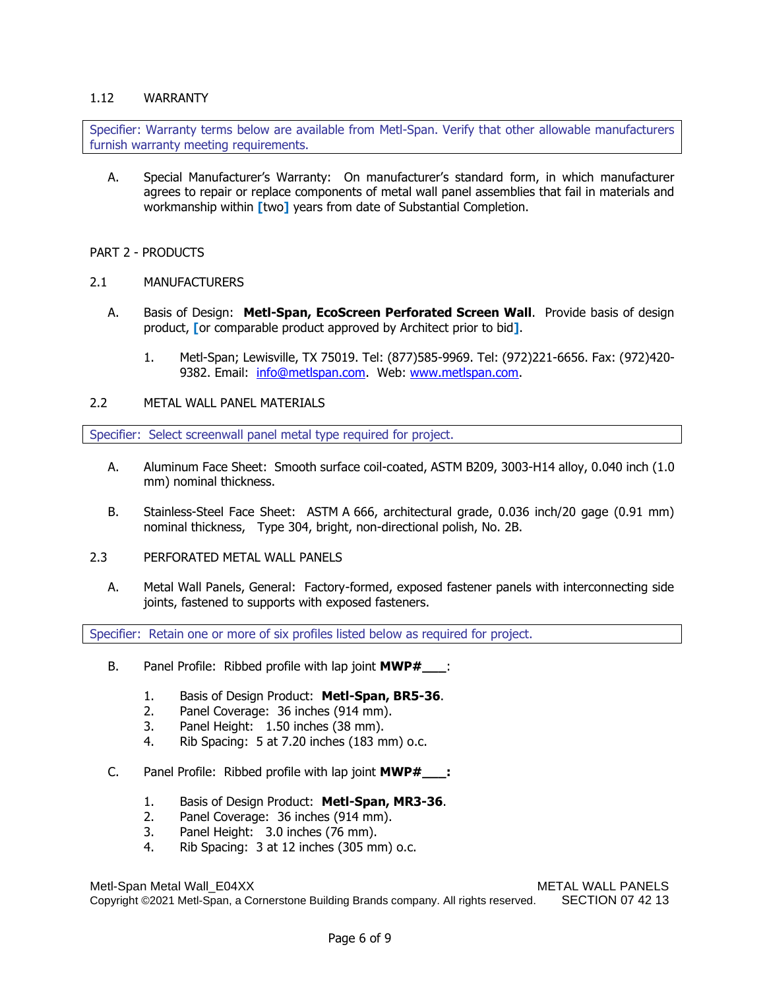## 1.12 WARRANTY

Specifier: Warranty terms below are available from Metl-Span. Verify that other allowable manufacturers furnish warranty meeting requirements.

A. Special Manufacturer's Warranty: On manufacturer's standard form, in which manufacturer agrees to repair or replace components of metal wall panel assemblies that fail in materials and workmanship within **[**two**]** years from date of Substantial Completion.

## PART 2 - PRODUCTS

- 2.1 MANUFACTURERS
	- A. Basis of Design: **Metl-Span, EcoScreen Perforated Screen Wall**. Provide basis of design product, **[**or comparable product approved by Architect prior to bid**]**.
		- 1. Metl-Span; Lewisville, TX 75019. Tel: (877)585-9969. Tel: (972)221-6656. Fax: (972)420 9382. Email: [info@metlspan.com.](mailto:info@metlspan.com) Web: [www.metlspan.com.](http://www.metlspan.com/)

## 2.2 METAL WALL PANEL MATERIALS

Specifier: Select screenwall panel metal type required for project.

- A. Aluminum Face Sheet: Smooth surface coil-coated, ASTM B209, 3003-H14 alloy, 0.040 inch (1.0 mm) nominal thickness.
- B. Stainless-Steel Face Sheet: ASTM A 666, architectural grade, 0.036 inch/20 gage (0.91 mm) nominal thickness, Type 304, bright, non-directional polish, No. 2B.
- 2.3 PERFORATED METAL WALL PANELS
	- A. Metal Wall Panels, General: Factory-formed, exposed fastener panels with interconnecting side joints, fastened to supports with exposed fasteners.

Specifier: Retain one or more of six profiles listed below as required for project.

- B. Panel Profile: Ribbed profile with lap joint **MWP#\_\_\_**:
	- 1. Basis of Design Product: **Metl-Span, BR5-36**.
	- 2. Panel Coverage: 36 inches (914 mm).
	- 3. Panel Height: 1.50 inches (38 mm).
	- 4. Rib Spacing: 5 at 7.20 inches (183 mm) o.c.
- C. Panel Profile: Ribbed profile with lap joint **MWP#\_\_\_:**
	- 1. Basis of Design Product: **Metl-Span, MR3-36**.
	- 2. Panel Coverage: 36 inches (914 mm).
	- 3. Panel Height: 3.0 inches (76 mm).
	- 4. Rib Spacing: 3 at 12 inches (305 mm) o.c.

Metl-Span Metal Wall\_E04XX METAL WALL PANELS Copyright ©2021 Metl-Span, a Cornerstone Building Brands company. All rights reserved. SECTION 07 42 13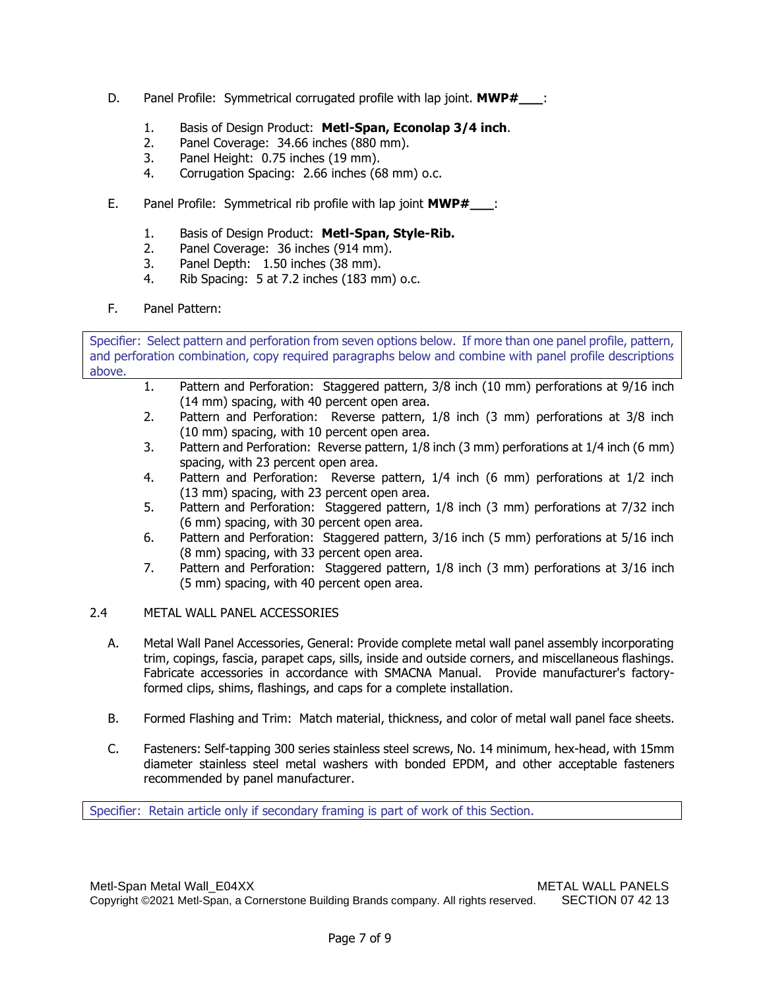- D. Panel Profile: Symmetrical corrugated profile with lap joint. **MWP#\_\_\_**:
	- 1. Basis of Design Product: **Metl-Span, Econolap 3/4 inch**.
	- 2. Panel Coverage: 34.66 inches (880 mm).
	- 3. Panel Height: 0.75 inches (19 mm).
	- 4. Corrugation Spacing: 2.66 inches (68 mm) o.c.
- E. Panel Profile: Symmetrical rib profile with lap joint **MWP#\_\_\_**:
	- 1. Basis of Design Product: **Metl-Span, Style-Rib.**
	- 2. Panel Coverage: 36 inches (914 mm).
	- 3. Panel Depth: 1.50 inches (38 mm).
	- 4. Rib Spacing: 5 at 7.2 inches (183 mm) o.c.
- F. Panel Pattern:

Specifier: Select pattern and perforation from seven options below. If more than one panel profile, pattern, and perforation combination, copy required paragraphs below and combine with panel profile descriptions above.

- 1. Pattern and Perforation: Staggered pattern, 3/8 inch (10 mm) perforations at 9/16 inch (14 mm) spacing, with 40 percent open area.
- 2. Pattern and Perforation: Reverse pattern, 1/8 inch (3 mm) perforations at 3/8 inch (10 mm) spacing, with 10 percent open area.
- 3. Pattern and Perforation: Reverse pattern, 1/8 inch (3 mm) perforations at 1/4 inch (6 mm) spacing, with 23 percent open area.
- 4. Pattern and Perforation: Reverse pattern, 1/4 inch (6 mm) perforations at 1/2 inch (13 mm) spacing, with 23 percent open area.
- 5. Pattern and Perforation: Staggered pattern, 1/8 inch (3 mm) perforations at 7/32 inch (6 mm) spacing, with 30 percent open area.
- 6. Pattern and Perforation: Staggered pattern, 3/16 inch (5 mm) perforations at 5/16 inch (8 mm) spacing, with 33 percent open area.
- 7. Pattern and Perforation: Staggered pattern, 1/8 inch (3 mm) perforations at 3/16 inch (5 mm) spacing, with 40 percent open area.

# 2.4 METAL WALL PANEL ACCESSORIES

- A. Metal Wall Panel Accessories, General: Provide complete metal wall panel assembly incorporating trim, copings, fascia, parapet caps, sills, inside and outside corners, and miscellaneous flashings. Fabricate accessories in accordance with SMACNA Manual. Provide manufacturer's factoryformed clips, shims, flashings, and caps for a complete installation.
- B. Formed Flashing and Trim: Match material, thickness, and color of metal wall panel face sheets.
- C. Fasteners: Self-tapping 300 series stainless steel screws, No. 14 minimum, hex-head, with 15mm diameter stainless steel metal washers with bonded EPDM, and other acceptable fasteners recommended by panel manufacturer.

Specifier: Retain article only if secondary framing is part of work of this Section.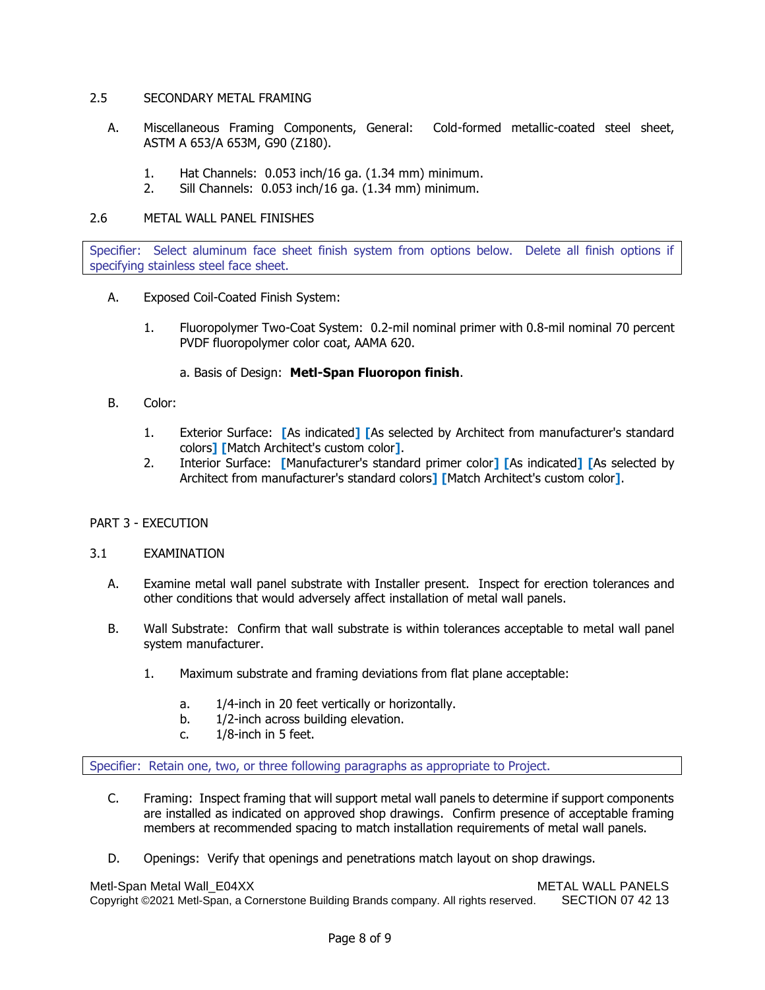## 2.5 SECONDARY METAL FRAMING

- A. Miscellaneous Framing Components, General: Cold-formed metallic-coated steel sheet, ASTM A 653/A 653M, G90 (Z180).
	- 1. Hat Channels: 0.053 inch/16 ga. (1.34 mm) minimum.
	- 2. Sill Channels: 0.053 inch/16 ga. (1.34 mm) minimum.

## 2.6 METAL WALL PANEL FINISHES

Specifier: Select aluminum face sheet finish system from options below. Delete all finish options if specifying stainless steel face sheet.

- A. Exposed Coil-Coated Finish System:
	- 1. Fluoropolymer Two-Coat System: 0.2-mil nominal primer with 0.8-mil nominal 70 percent PVDF fluoropolymer color coat, AAMA 620.
		- a. Basis of Design: **Metl-Span Fluoropon finish**.
- B. Color:
	- 1. Exterior Surface: **[**As indicated**] [**As selected by Architect from manufacturer's standard colors**] [**Match Architect's custom color**]**.
	- 2. Interior Surface: **[**Manufacturer's standard primer color**] [**As indicated**] [**As selected by Architect from manufacturer's standard colors**] [**Match Architect's custom color**]**.

# PART 3 - EXECUTION

#### 3.1 EXAMINATION

- A. Examine metal wall panel substrate with Installer present. Inspect for erection tolerances and other conditions that would adversely affect installation of metal wall panels.
- B. Wall Substrate: Confirm that wall substrate is within tolerances acceptable to metal wall panel system manufacturer.
	- 1. Maximum substrate and framing deviations from flat plane acceptable:
		- a. 1/4-inch in 20 feet vertically or horizontally.
		- b. 1/2-inch across building elevation.
		- c. 1/8-inch in 5 feet.

Specifier: Retain one, two, or three following paragraphs as appropriate to Project.

- C. Framing: Inspect framing that will support metal wall panels to determine if support components are installed as indicated on approved shop drawings. Confirm presence of acceptable framing members at recommended spacing to match installation requirements of metal wall panels.
- D. Openings: Verify that openings and penetrations match layout on shop drawings.

Metl-Span Metal Wall\_E04XX Metal WALL PANELS Copyright ©2021 Metl-Span, a Cornerstone Building Brands company. All rights reserved. SECTION 07 42 13